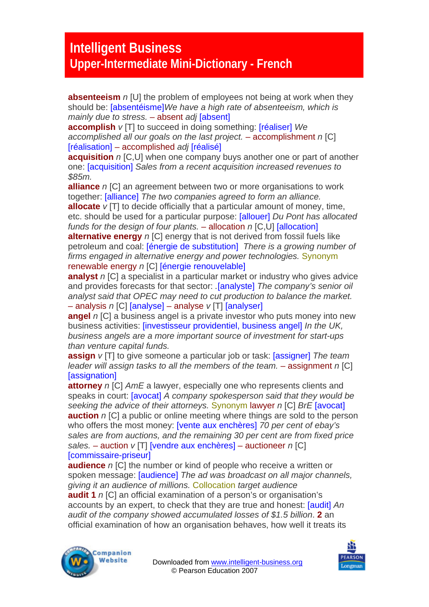## **Intelligent Business Upper-Intermediate Mini-Dictionary - French**

**absenteeism** *n* [U] the problem of employees not being at work when they should be: [absentéisme]*We have a high rate of absenteeism, which is mainly due to stress.* – absent *adj* [absent]

**accomplish** *v* [T] to succeed in doing something: [réaliser] *We accomplished all our goals on the last project.* – accomplishment *n* [C] [réalisation] – accomplished *adj* [réalisé]

**acquisition** *n* [C,U] when one company buys another one or part of another one: [acquisition] *Sales from a recent acquisition increased revenues to \$85m.*

**alliance** *n* [C] an agreement between two or more organisations to work together: [alliance] *The two companies agreed to form an alliance.* 

**allocate** *v* [T] to decide officially that a particular amount of money, time, etc. should be used for a particular purpose: [allouer] *Du Pont has allocated funds for the design of four plants.* – allocation *n* [C,U] [allocation]

**alternative energy** *n* [C] energy that is not derived from fossil fuels like petroleum and coal: [énergie de substitution] *There is a growing number of firms engaged in alternative energy and power technologies.* Synonym renewable energy *n* [C] [énergie renouvelable]

**analyst** *n* [C] a specialist in a particular market or industry who gives advice and provides forecasts for that sector: *.*[analyste] *The company's senior oil analyst said that OPEC may need to cut production to balance the market.*  – analysis *n* [C] [analyse] – analyse *v* [T] [analyser]

**angel** *n* [C] a business angel is a private investor who puts money into new business activities: [investisseur providentiel, business angel] *In the UK, business angels are a more important source of investment for start-ups than venture capital funds.* 

**assign** *v* [T] to give someone a particular job or task: [assigner] *The team leader will assign tasks to all the members of the team.* – assignment *n* [C] [assignation]

**attorney** *n* [C] *AmE* a lawyer, especially one who represents clients and speaks in court: [avocat] *A company spokesperson said that they would be seeking the advice of their attorneys.* Synonym lawyer *n* [C] *BrE* [avocat] **auction** *n* ICI a public or online meeting where things are sold to the person who offers the most money: [vente aux enchères] *70 per cent of ebay's sales are from auctions, and the remaining 30 per cent are from fixed price sales.* – auction *v* [T] [vendre aux enchères] – auctioneer *n* [C] [commissaire-priseur]

**audience** *n* [C] the number or kind of people who receive a written or spoken message: [audience] *The ad was broadcast on all major channels, giving it an audience of millions.* Collocation *target audience* 

**audit 1** *n* [C] an official examination of a person's or organisation's accounts by an expert, to check that they are true and honest: [audit] *An audit of the company showed accumulated losses of \$1.5 billion*. **2** an official examination of how an organisation behaves, how well it treats its



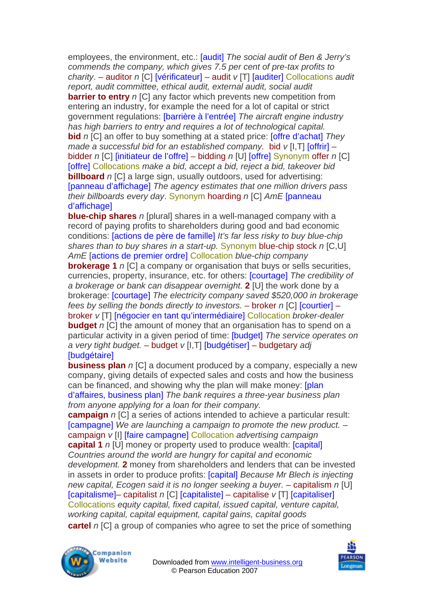employees, the environment, etc.: [audit] *The social audit of Ben & Jerry's commends the company, which gives 7.5 per cent of pre-tax profits to charity*. – auditor *n* [C] [vérificateur] – audit *v* [T] [auditer] Collocations *audit report, audit committee, ethical audit, external audit, social audit*  **barrier to entry** *n* [C] any factor which prevents new competition from entering an industry, for example the need for a lot of capital or strict government regulations: [barrière à l'entrée] *The aircraft engine industry has high barriers to entry and requires a lot of technological capital.*  **bid** *n* [C] an offer to buy something at a stated price: [offre d'achat] *They made a successful bid for an established company.* bid *v* [I,T] [offrir] – bidder *n* [C] [initiateur de l'offre] – bidding *n* [U] [offre] Synonym offer *n* [C] [offre] Collocations *make a bid, accept a bid, reject a bid, takeover bid*  **billboard** *n* [C] a large sign, usually outdoors, used for advertising: [panneau d'affichage] *The agency estimates that one million drivers pass their billboards every day*. Synonym hoarding *n* [C] *AmE* [panneau d'affichage]

**blue-chip shares** *n* [plural] shares in a well-managed company with a record of paying profits to shareholders during good and bad economic conditions: [actions de père de famille] *It's far less risky to buy blue-chip shares than to buy shares in a start-up.* Synonym blue-chip stock *n* [C,U] *AmE* [actions de premier ordre] Collocation *blue-chip company* 

**brokerage 1** *n* [C] a company or organisation that buys or sells securities, currencies, property, insurance, etc. for others: [courtage] *The credibility of a brokerage or bank can disappear overnight.* **2** [U] the work done by a brokerage: [courtage] *The electricity company saved \$520,000 in brokerage fees by selling the bonds directly to investors. – broker n [C] [courtier] –* broker *v* [T] [négocier en tant qu'intermédiaire] Collocation *broker-dealer*  **budget** *n* [C] the amount of money that an organisation has to spend on a particular activity in a given period of time: [budget] *The service operates on a very tight budget.* – budget *v* [I,T] [budgétiser] – budgetary *adj*  [budgétaire]

**business plan** *n* [C] a document produced by a company, especially a new company, giving details of expected sales and costs and how the business can be financed, and showing why the plan will make money: [plan d'affaires, business plan] *The bank requires a three-year business plan from anyone applying for a loan for their company.* 

**campaign** *n* [C] a series of actions intended to achieve a particular result: [campagne] *We are launching a campaign to promote the new product.* – campaign *v* [I] [faire campagne] Collocation *advertising campaign*  **capital 1** *n* [U] money or property used to produce wealth: [capital] *Countries around the world are hungry for capital and economic development.* **2** money from shareholders and lenders that can be invested in assets in order to produce profits: [capital] *Because Mr Blech is injecting new capital, Ecogen said it is no longer seeking a buyer. – capitalism n [U]* [capitalisme]– capitalist *n* [C] [capitaliste] – capitalise *v* [T] [capitaliser] Collocations *equity capital, fixed capital, issued capital, venture capital, working capital, capital equipment, capital gains, capital goods*  **cartel** *n* ICI a group of companies who agree to set the price of something



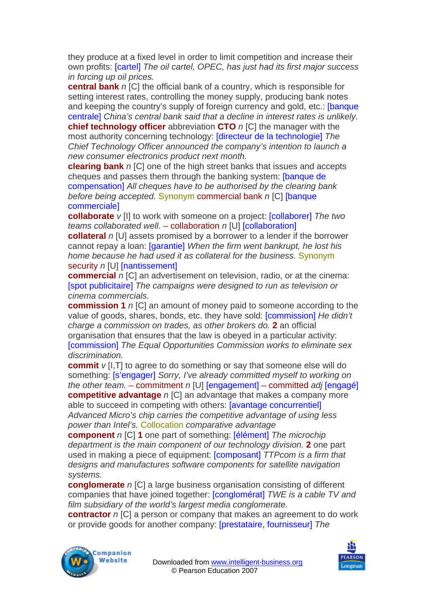they produce at a fixed level in order to limit competition and increase their own profits: [cartel] *The oil cartel, OPEC, has just had its first major success in forcing up oil prices.* 

**central bank** *n* [C] the official bank of a country, which is responsible for setting interest rates, controlling the money supply, producing bank notes and keeping the country's supply of foreign currency and gold, etc.: [banque centrale] *China's central bank said that a decline in interest rates is unlikely.* 

**chief technology officer** abbreviation **CTO** *n* [C] the manager with the most authority concerning technology: [directeur de la technologie] *The Chief Technology Officer announced the company's intention to launch a new consumer electronics product next month.* 

**clearing bank** *n* [C] one of the high street banks that issues and accepts cheques and passes them through the banking system: [banque de compensation] *All cheques have to be authorised by the clearing bank before being accepted.* Synonym commercial bank *n* [C] [banque commerciale]

**collaborate** *v* [I] to work with someone on a project: **[collaborer]** The two *teams collaborated well.* – collaboration *n* [U] [collaboration]

**collateral** *n* [U] assets promised by a borrower to a lender if the borrower cannot repay a loan: [garantie] *When the firm went bankrupt, he lost his home because he had used it as collateral for the business.* Synonym security *n* [U] [nantissement]

**commercial** *n* [C] an advertisement on television, radio, or at the cinema: [spot publicitaire] *The campaigns were designed to run as television or cinema commercials.*

**commission 1** *n* [C] an amount of money paid to someone according to the value of goods, shares, bonds, etc. they have sold: [commission] *He didn't charge a commission on trades, as other brokers do.* **2** an official organisation that ensures that the law is obeyed in a particular activity: [commission] *The Equal Opportunities Commission works to eliminate sex discrimination.* 

**commit**  $v$  [I, T] to agree to do something or say that someone else will do something: [s'engager] *Sorry, I've already committed myself to working on the other team.* – commitment *n* [U] [engagement] – committed *adj* [engagé] **competitive advantage** *n* [C] an advantage that makes a company more able to succeed in competing with others: [avantage concurrentiel] *Advanced Micro's chip carries the competitive advantage of using less power than Intel's.* Collocation *comparative advantage* 

**component** *n* [C] **1** one part of something: [élément] *The microchip department is the main component of our technology division.* **2** one part used in making a piece of equipment: [composant] *TTPcom is a firm that designs and manufactures software components for satellite navigation systems.* 

**conglomerate** *n* [C] a large business organisation consisting of different companies that have joined together: [conglomérat] *TWE is a cable TV and film subsidiary of the world's largest media conglomerate.* 

**contractor** *n* [C] a person or company that makes an agreement to do work or provide goods for another company: [prestataire, fournisseur] *The* 



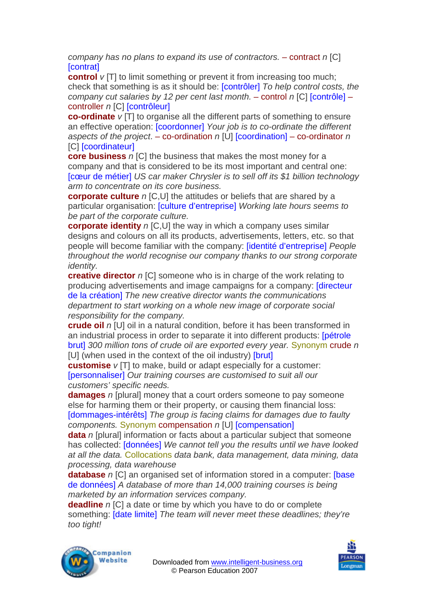*company has no plans to expand its use of contractors. – contract n [C]* [contrat]

**control** *v* [T] to limit something or prevent it from increasing too much; check that something is as it should be: [contrôler] *To help control costs, the company cut salaries by 12 per cent last month.* – control *n* [C] [contrôle] – controller *n* [C] [contrôleur]

**co-ordinate**  $v$  [T] to organise all the different parts of something to ensure an effective operation: [coordonner] *Your job is to co-ordinate the different aspects of the project*. – co-ordination *n* [U] [coordination] – co-ordinator *n*  [C] **[coordinateur]** 

**core business** *n* [C] the business that makes the most money for a company and that is considered to be its most important and central one: [cœur de métier] *US car maker Chrysler is to sell off its \$1 billion technology arm to concentrate on its core business.* 

**corporate culture** *n* [C,U] the attitudes or beliefs that are shared by a particular organisation: [culture d'entreprise] *Working late hours seems to be part of the corporate culture.* 

**corporate identity** *n* [C,U] the way in which a company uses similar designs and colours on all its products, advertisements, letters, etc. so that people will become familiar with the company: [identité d'entreprise] *People throughout the world recognise our company thanks to our strong corporate identity.* 

**creative director** *n* [C] someone who is in charge of the work relating to producing advertisements and image campaigns for a company: [directeur de la création] *The new creative director wants the communications department to start working on a whole new image of corporate social responsibility for the company.* 

**crude oil** *n* [U] oil in a natural condition, before it has been transformed in an industrial process in order to separate it into different products: [pétrole brut] *300 million tons of crude oil are exported every year.* Synonym crude *n*  [U] (when used in the context of the oil industry) [brut]

**customise**  $v$  [T] to make, build or adapt especially for a customer: [personnaliser] *Our training courses are customised to suit all our customers' specific needs.* 

**damages** *n* [plural] money that a court orders someone to pay someone else for harming them or their property, or causing them financial loss: [dommages-intérêts] *The group is facing claims for damages due to faulty components.* Synonym compensation *n* [U] [compensation]

**data** *n* [plural] information or facts about a particular subject that someone has collected: [données] *We cannot tell you the results until we have looked at all the data.* Collocations *data bank, data management, data mining, data processing, data warehouse*

**database** *n* [C] an organised set of information stored in a computer: [base] de données] *A database of more than 14,000 training courses is being marketed by an information services company.* 

**deadline** *n* [C] a date or time by which you have to do or complete something: [date limite] *The team will never meet these deadlines; they're too tight!* 



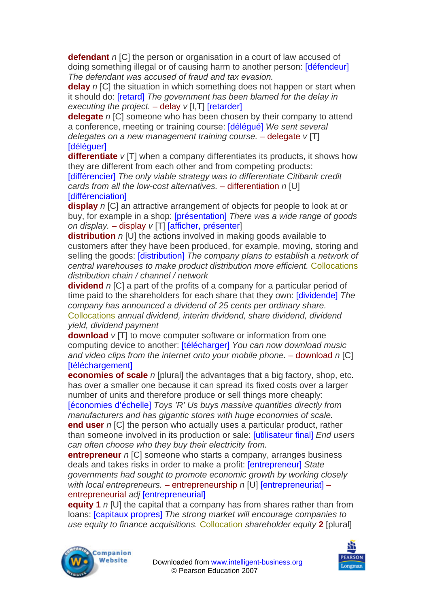**defendant** *n* [C] the person or organisation in a court of law accused of doing something illegal or of causing harm to another person: [défendeur] *The defendant was accused of fraud and tax evasion.* 

**delay** *n* [C] the situation in which something does not happen or start when it should do: [retard] *The government has been blamed for the delay in executing the project.* – delay *v* [I,T] [retarder]

**delegate** *n* ICI someone who has been chosen by their company to attend a conference, meeting or training course: [délégué] *We sent several delegates on a new management training course.* – delegate *v* [T] **Idéléquer1** 

**differentiate** *v* [T] when a company differentiates its products, it shows how they are different from each other and from competing products:

[différencier] *The only viable strategy was to differentiate Citibank credit cards from all the low-cost alternatives.* – differentiation *n* [U] [différenciation]

**display** *n* [C] an attractive arrangement of objects for people to look at or buy, for example in a shop: [présentation] *There was a wide range of goods on display.* – display *v* [T] [afficher, présenter]

**distribution** *n* [U] the actions involved in making goods available to customers after they have been produced, for example, moving, storing and selling the goods: [distribution] *The company plans to establish a network of central warehouses to make product distribution more efficient.* Collocations *distribution chain / channel / network* 

**dividend** *n* [C] a part of the profits of a company for a particular period of time paid to the shareholders for each share that they own: [dividende] *The company has announced a dividend of 25 cents per ordinary share.*  Collocations *annual dividend, interim dividend, share dividend, dividend yield, dividend payment* 

**download**  $v$  [T] to move computer software or information from one computing device to another: [télécharger] *You can now download music and video clips from the internet onto your mobile phone.* – download *n* [C] **Itéléchargementl** 

**economies of scale** *n* [plural] the advantages that a big factory, shop, etc. has over a smaller one because it can spread its fixed costs over a larger number of units and therefore produce or sell things more cheaply: [économies d'échelle] *Toys 'R' Us buys massive quantities directly from manufacturers and has gigantic stores with huge economies of scale.*  **end user** *n* [C] the person who actually uses a particular product, rather than someone involved in its production or sale: [utilisateur final] *End users can often choose who they buy their electricity from.* 

**entrepreneur** *n* [C] someone who starts a company, arranges business deals and takes risks in order to make a profit: [entrepreneur] *State governments had sought to promote economic growth by working closely with local entrepreneurs.* – entrepreneurship *n* [U] [entrepreneuriat] – entrepreneurial *adj* [entrepreneurial]

**equity 1** *n* [U] the capital that a company has from shares rather than from loans: [capitaux propres] *The strong market will encourage companies to use equity to finance acquisitions.* Collocation *shareholder equity* **2** [plural]



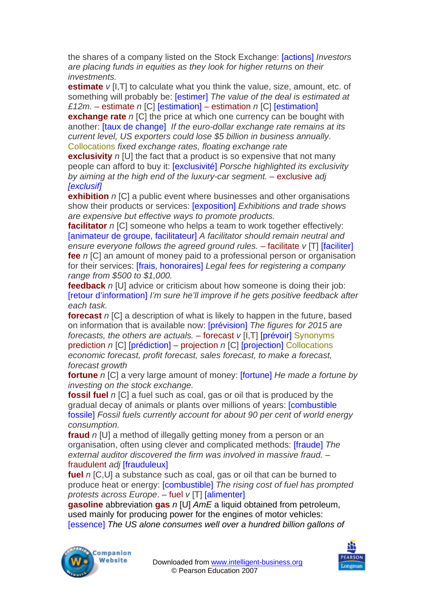the shares of a company listed on the Stock Exchange: [actions] *Investors are placing funds in equities as they look for higher returns on their investments.* 

**estimate**  $v$  [I, T] to calculate what you think the value, size, amount, etc. of something will probably be: [estimer] *The value of the deal is estimated at £12m.* – estimate *n* [C] [estimation] – estimation *n* [C] [estimation]

**exchange rate** *n* ICI the price at which one currency can be bought with another: [taux de change] *If the euro-dollar exchange rate remains at its current level, US exporters could lose \$5 billion in business annually*. Collocations *fixed exchange rates, floating exchange rate* 

**exclusivity** *n* [U] the fact that a product is so expensive that not many people can afford to buy it: [exclusivité] *Porsche highlighted its exclusivity by aiming at the high end of the luxury-car segment.* – exclusive *adj [exclusif]*

**exhibition** *n* [C] a public event where businesses and other organisations show their products or services: [exposition] *Exhibitions and trade shows are expensive but effective ways to promote products.* 

**facilitator** *n* [C] someone who helps a team to work together effectively: [animateur de groupe, facilitateur] *A facilitator should remain neutral and ensure everyone follows the agreed ground rules. – facilitate v [T] [faciliter]* **fee** *n* [C] an amount of money paid to a professional person or organisation for their services: [frais, honoraires] *Legal fees for registering a company range from \$500 to \$1,000.* 

**feedback** *n* [U] advice or criticism about how someone is doing their job: [retour d'information] *I'm sure he'll improve if he gets positive feedback after each task.* 

**forecast** *n* [C] a description of what is likely to happen in the future, based on information that is available now: [prévision] *The figures for 2015 are forecasts, the others are actuals.* – forecast *v* [I,T] [prévoir] Synonyms prediction *n* [C] [prédiction] – projection *n* [C] [projection] Collocations *economic forecast, profit forecast, sales forecast, to make a forecast, forecast growth* 

**fortune** *n* [C] a very large amount of money: [fortune] *He made a fortune by investing on the stock exchange.* 

**fossil fuel** *n* [C] a fuel such as coal, gas or oil that is produced by the gradual decay of animals or plants over millions of years: [combustible fossile] *Fossil fuels currently account for about 90 per cent of world energy consumption.* 

**fraud** *n* [U] a method of illegally getting money from a person or an organisation, often using clever and complicated methods: [fraude] *The external auditor discovered the firm was involved in massive fraud.* – fraudulent *adj* [frauduleux]

**fuel** *n* [C,U] a substance such as coal, gas or oil that can be burned to produce heat or energy: [combustible] *The rising cost of fuel has prompted protests across Europe*. – fuel *v* [T] [alimenter]

**gasoline** abbreviation **gas** *n* [U] *AmE* a liquid obtained from petroleum, used mainly for producing power for the engines of motor vehicles: [essence] *The US alone consumes well over a hundred billion gallons of* 



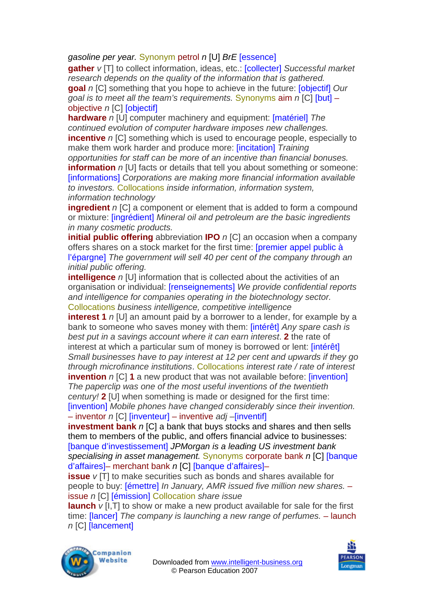*gasoline per year.* Synonym petrol *n* [U] *BrE* [essence]

**gather** *v* [T] to collect information, ideas, etc.: [collecter] *Successful market research depends on the quality of the information that is gathered.*  **goal** *n* [C] something that you hope to achieve in the future: [objectif] *Our goal is to meet all the team's requirements.* Synonyms aim *n* [C] [but] – objective *n* [C] [objectif]

**hardware** *n* [U] computer machinery and equipment: [matériel] *The continued evolution of computer hardware imposes new challenges.*  **incentive** *n* [C] something which is used to encourage people, especially to make them work harder and produce more: [incitation] *Training opportunities for staff can be more of an incentive than financial bonuses.*  **information** *n* [U] facts or details that tell you about something or someone: [informations] *Corporations are making more financial information available* 

*to investors.* Collocations *inside information, information system, information technology*

**ingredient** *n* [C] a component or element that is added to form a compound or mixture: [ingrédient] *Mineral oil and petroleum are the basic ingredients in many cosmetic products.* 

**initial public offering** abbreviation **IPO** *n* [C] an occasion when a company offers shares on a stock market for the first time: [premier appel public à l'épargne] *The government will sell 40 per cent of the company through an initial public offering.* 

**intelligence** *n* [U] information that is collected about the activities of an organisation or individual: [renseignements] *We provide confidential reports and intelligence for companies operating in the biotechnology sector.*  Collocations *business intelligence, competitive intelligence* 

**interest 1** *n* [U] an amount paid by a borrower to a lender, for example by a bank to someone who saves money with them: [intérêt] *Any spare cash is best put in a savings account where it can earn interest*. **2** the rate of interest at which a particular sum of money is borrowed or lent: [intérêt] *Small businesses have to pay interest at 12 per cent and upwards if they go through microfinance institutions*. Collocations *interest rate / rate of interest*  **invention** *n* [C] **1** a new product that was not available before: [invention] *The paperclip was one of the most useful inventions of the twentieth century!* **2** [U] when something is made or designed for the first time: [invention] *Mobile phones have changed considerably since their invention.* 

## – inventor *n* [C] [inventeur] – inventive *adj –*[inventif]

**investment bank** *n* [C] a bank that buys stocks and shares and then sells them to members of the public, and offers financial advice to businesses: [banque d'investissement] *JPMorgan is a leading US investment bank specialising in asset management.* Synonyms corporate bank *n* [C] [banque d'affaires]– merchant bank *n* [C] [banque d'affaires]–

**issue** *v* [T] to make securities such as bonds and shares available for people to buy: [émettre] *In January, AMR issued five million new shares.* – issue *n* [C] [émission] Collocation *share issue* 

**launch** *v* [I,T] to show or make a new product available for sale for the first time: [lancer] *The company is launching a new range of perfumes.* – launch *n* [C] [lancement]



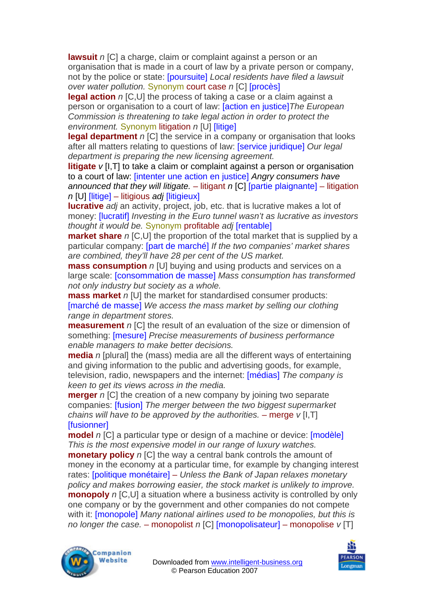**lawsuit** *n* [C] a charge, claim or complaint against a person or an organisation that is made in a court of law by a private person or company, not by the police or state: [poursuite] *Local residents have filed a lawsuit over water pollution.* Synonym court case *n* [C] [procès]

**legal action** *n* [C,U] the process of taking a case or a claim against a person or organisation to a court of law: [action en justice]*The European Commission is threatening to take legal action in order to protect the environment.* Synonym litigation *n* [U] [litige]

**legal department** *n* [C] the service in a company or organisation that looks after all matters relating to questions of law: [service juridique] *Our legal department is preparing the new licensing agreement.* 

**litigate** *v* [I,T] to take a claim or complaint against a person or organisation to a court of law: [intenter une action en justice] *Angry consumers have announced that they will litigate.* – litigant *n* [C] [partie plaignante] – litigation *n* [U] [litige] – litigious *adj* [litigieux]

**lucrative** *adj* an activity, project, job, etc. that is lucrative makes a lot of money: [lucratif] *Investing in the Euro tunnel wasn't as lucrative as investors thought it would be.* Synonym profitable *adj* [rentable]

**market share** *n* [C,U] the proportion of the total market that is supplied by a particular company: [part de marché] *If the two companies' market shares are combined, they'll have 28 per cent of the US market.* 

**mass consumption** *n* [U] buying and using products and services on a large scale: [consommation de masse] *Mass consumption has transformed not only industry but society as a whole.* 

**mass market** *n* [U] the market for standardised consumer products: [marché de masse] *We access the mass market by selling our clothing range in department stores.* 

**measurement** *n* [C] the result of an evaluation of the size or dimension of something: [mesure] *Precise measurements of business performance enable managers to make better decisions.* 

**media** *n* [plural] the (mass) media are all the different ways of entertaining and giving information to the public and advertising goods, for example, television, radio, newspapers and the internet: [médias] *The company is keen to get its views across in the media.* 

**merger** *n* [C] the creation of a new company by joining two separate companies: [fusion] *The merger between the two biggest supermarket chains will have to be approved by the authorities. – merge v [I,T]* **[fusionner]** 

**model** *n* [C] a particular type or design of a machine or device: [modèle] *This is the most expensive model in our range of luxury watches.* 

**monetary policy** *n* [C] the way a central bank controls the amount of money in the economy at a particular time, for example by changing interest rates: [politique monétaire] – *Unless the Bank of Japan relaxes monetary policy and makes borrowing easier, the stock market is unlikely to improve.*  **monopoly** *n* [C,U] a situation where a business activity is controlled by only one company or by the government and other companies do not compete with it: [monopole] *Many national airlines used to be monopolies, but this is no longer the case.* – monopolist *n* [C] [monopolisateur] – monopolise *v* [T]



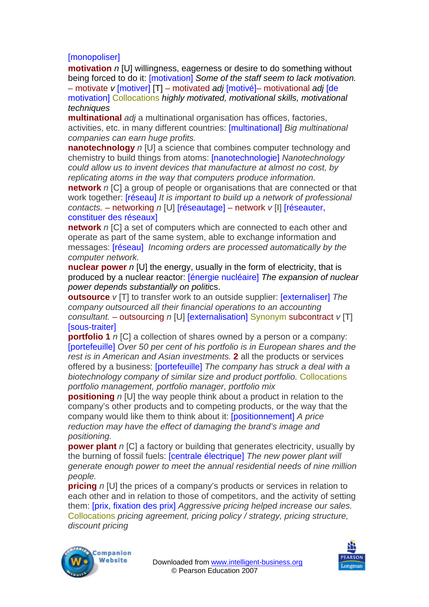## [monopoliser]

**motivation** *n* [U] willingness, eagerness or desire to do something without being forced to do it: [motivation] *Some of the staff seem to lack motivation.*  – motivate *v* [motiver] [T] – motivated *adj* [motivé]– motivational *adj* [de

motivation] Collocations *highly motivated, motivational skills, motivational techniques* 

**multinational** *adj* a multinational organisation has offices, factories, activities, etc. in many different countries: [multinational] *Big multinational companies can earn huge profits.* 

**nanotechnology** *n* [U] a science that combines computer technology and chemistry to build things from atoms: [nanotechnologie] *Nanotechnology could allow us to invent devices that manufacture at almost no cost, by replicating atoms in the way that computers produce information.* 

**network** *n* [C] a group of people or organisations that are connected or that work together: [réseau] *It is important to build up a network of professional contacts.* – networking *n* [U] [réseautage] – network *v* [I] [réseauter, constituer des réseaux]

**network** *n* ICI a set of computers which are connected to each other and operate as part of the same system, able to exchange information and messages: [réseau] *Incoming orders are processed automatically by the computer network.* 

**nuclear power** *n* [U] the energy, usually in the form of electricity, that is produced by a nuclear reactor: [énergie nucléaire] *The expansion of nuclear power depends substantially on politi*cs.

**outsource** *v* [T] to transfer work to an outside supplier: [externaliser] *The company outsourced all their financial operations to an accounting consultant.* – outsourcing *n* [U] [externalisation] Synonym subcontract *v* [T] [sous-traiter]

**portfolio 1** *n* [C] a collection of shares owned by a person or a company: [portefeuille] *Over 50 per cent of his portfolio is in European shares and the rest is in American and Asian investments.* **2** all the products or services offered by a business: [portefeuille] *The company has struck a deal with a biotechnology company of similar size and product portfolio.* Collocations *portfolio management, portfolio manager, portfolio mix* 

**positioning** *n* [U] the way people think about a product in relation to the company's other products and to competing products, or the way that the company would like them to think about it: [positionnement] *A price reduction may have the effect of damaging the brand's image and positioning.*

**power plant** *n* [C] a factory or building that generates electricity, usually by the burning of fossil fuels: [centrale électrique] *The new power plant will generate enough power to meet the annual residential needs of nine million people.* 

**pricing** *n* [U] the prices of a company's products or services in relation to each other and in relation to those of competitors, and the activity of setting them: [prix, fixation des prix] *Aggressive pricing helped increase our sales.*  Collocations *pricing agreement, pricing policy / strategy, pricing structure, discount pricing* 



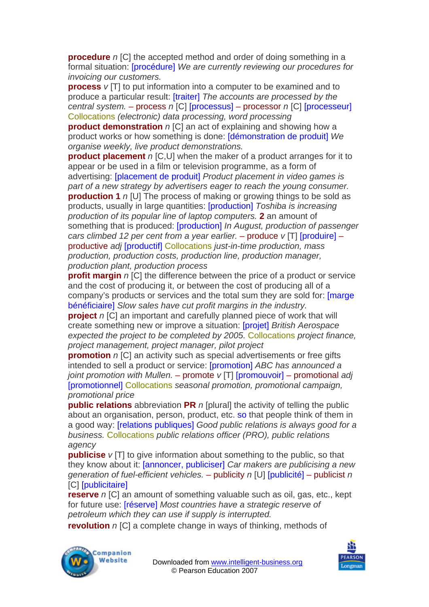**procedure** *n* [C] the accepted method and order of doing something in a formal situation: [procédure] *We are currently reviewing our procedures for invoicing our customers.* 

**process**  $v$  [T] to put information into a computer to be examined and to produce a particular result: [traiter] *The accounts are processed by the central system.* – process *n* [C] [processus] – processor *n* [C] [processeur] Collocations *(electronic) data processing, word processing* 

**product demonstration** *n* [C] an act of explaining and showing how a product works or how something is done: [démonstration de produit] *We organise weekly, live product demonstrations.* 

**product placement** *n* [C,U] when the maker of a product arranges for it to appear or be used in a film or television programme, as a form of advertising: [placement de produit] *Product placement in video games is part of a new strategy by advertisers eager to reach the young consumer.*  **production 1** *n* [U] The process of making or growing things to be sold as products, usually in large quantities: [production] *Toshiba is increasing production of its popular line of laptop computers.* **2** an amount of something that is produced: [production] *In August, production of passenger cars climbed 12 per cent from a year earlier.* – produce *v* [T] [produire] – productive *adj* [productif] Collocations *just-in-time production, mass production, production costs, production line, production manager, production plant, production process* 

**profit margin** *n* [C] the difference between the price of a product or service and the cost of producing it, or between the cost of producing all of a company's products or services and the total sum they are sold for: [marge bénéficiaire] *Slow sales have cut profit margins in the industry.* 

**project** *n* [C] an important and carefully planned piece of work that will create something new or improve a situation: [projet] *British Aerospace expected the project to be completed by 2005.* Collocations *project finance, project management, project manager, pilot project* 

**promotion** *n* [C] an activity such as special advertisements or free gifts intended to sell a product or service: [promotion] *ABC has announced a joint promotion with Mullen.* – promote *v* [T] [promouvoir] – promotional *adj*  [promotionnel] Collocations *seasonal promotion, promotional campaign, promotional price* 

**public relations** abbreviation PR *n* [plural] the activity of telling the public about an organisation, person, product, etc. so that people think of them in a good way: [relations publiques] *Good public relations is always good for a business.* Collocations *public relations officer (PRO), public relations agency* 

**publicise** *v* [T] to give information about something to the public, so that they know about it: [annoncer, publiciser] *Car makers are publicising a new generation of fuel-efficient vehicles.* – publicity *n* [U] [publicité] – publicist *n*  [C] [publicitaire]

**reserve** *n* [C] an amount of something valuable such as oil, gas, etc., kept for future use: [réserve] *Most countries have a strategic reserve of petroleum which they can use if supply is interrupted.* 

**revolution** *n* ICI a complete change in ways of thinking, methods of



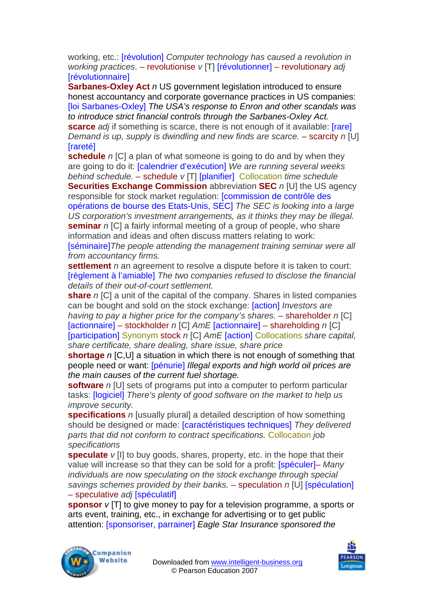working, etc.: [révolution] *Computer technology has caused a revolution in working practices*. – revolutionise *v* [T] [révolutionner] – revolutionary *adj*  **[révolutionnaire]** 

**Sarbanes-Oxley Act** *n* US government legislation introduced to ensure honest accountancy and corporate governance practices in US companies: [loi Sarbanes-Oxley] *The USA's response to Enron and other scandals was to introduce strict financial controls through the Sarbanes-Oxley Act.* **scarce** *adj* if something is scarce, there is not enough of it available: [rare] *Demand is up, supply is dwindling and new finds are scarce. – scarcity n [U]* **Trareté1** 

**schedule** *n* [C] a plan of what someone is going to do and by when they are going to do it: [calendrier d'exécution] *We are running several weeks behind schedule.* – schedule *v* [T] [planifier] Collocation *time schedule*  **Securities Exchange Commission** abbreviation **SEC** *n* [U] the US agency

responsible for stock market regulation: [commission de contrôle des opérations de bourse des Etats-Unis, SEC] *The SEC is looking into a large US corporation's investment arrangements, as it thinks they may be illegal.*  **seminar** *n* ICI a fairly informal meeting of a group of people, who share information and ideas and often discuss matters relating to work:

[séminaire]*The people attending the management training seminar were all from accountancy firms.* 

**settlement** *n* an agreement to resolve a dispute before it is taken to court: [règlement à l'amiable] *The two companies refused to disclose the financial details of their out-of-court settlement.* 

**share** *n* [C] a unit of the capital of the company. Shares in listed companies can be bought and sold on the stock exchange: [action] *Investors are having to pay a higher price for the company's shares.* – shareholder *n* [C] [actionnaire] – stockholder *n* [C] *AmE* [actionnaire] – shareholding *n* [C] [participation] Synonym stock *n* [C] *AmE* [action] Collocations *share capital, share certificate, share dealing, share issue, share price* 

**shortage** *n* [C,U] a situation in which there is not enough of something that people need or want: [pénurie] *Illegal exports and high world oil prices are the main causes of the current fuel shortage.* 

**software** *n* [U] sets of programs put into a computer to perform particular tasks: [logiciel] *There's plenty of good software on the market to help us improve security.* 

**specifications** *n* [usually plural] a detailed description of how something should be designed or made: [caractéristiques techniques] *They delivered parts that did not conform to contract specifications.* Collocation *job specifications* 

**speculate**  $v$  [I] to buy goods, shares, property, etc. in the hope that their value will increase so that they can be sold for a profit: [spéculer]– *Many individuals are now speculating on the stock exchange through special savings schemes provided by their banks.* – speculation *n* [U] [spéculation] – speculative *adj* [spéculatif]

**sponsor** *v* [T] to give money to pay for a television programme, a sports or arts event, training, etc., in exchange for advertising or to get public attention: [sponsoriser, parrainer] *Eagle Star Insurance sponsored the* 



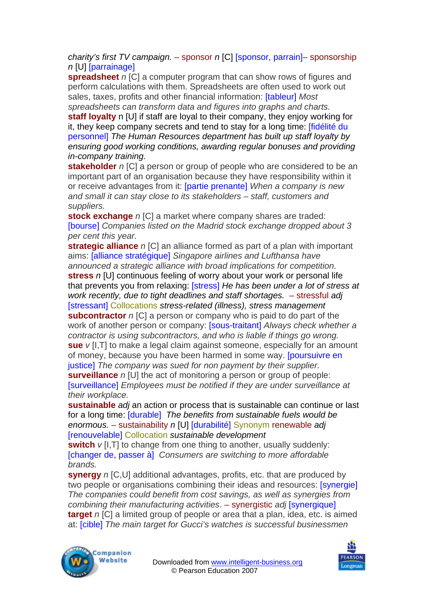*charity's first TV campaign.* – sponsor *n* [C] [sponsor, parrain]– sponsorship *n* [U] [parrainage]

**spreadsheet** *n* [C] a computer program that can show rows of figures and perform calculations with them. Spreadsheets are often used to work out sales, taxes, profits and other financial information: [tableur] *Most spreadsheets can transform data and figures into graphs and charts.* 

**staff loyalty** n [U] if staff are loyal to their company, they enjoy working for it, they keep company secrets and tend to stay for a long time: [fidélité du personnel] *The Human Resources department has built up staff loyalty by ensuring good working conditions, awarding regular bonuses and providing in-company training.* 

**stakeholder** *n* [C] a person or group of people who are considered to be an important part of an organisation because they have responsibility within it or receive advantages from it: [partie prenante] *When a company is new and small it can stay close to its stakeholders – staff, customers and suppliers.* 

**stock exchange** *n* [C] a market where company shares are traded: [bourse] *Companies listed on the Madrid stock exchange dropped about 3 per cent this year.* 

**strategic alliance** *n* [C] an alliance formed as part of a plan with important aims: [alliance stratégique] *Singapore airlines and Lufthansa have announced a strategic alliance with broad implications for competition.*  **stress** *n* [U] continuous feeling of worry about your work or personal life that prevents you from relaxing: [stress] *He has been under a lot of stress at work recently, due to tight deadlines and staff shortages.* – stressful *adj*  [stressant] Collocations *stress-related (illness), stress management*  **subcontractor** *n* [C] a person or company who is paid to do part of the work of another person or company: [sous-traitant] *Always check whether a contractor is using subcontractors, and who is liable if things go wrong.*  **sue** *v* [I,T] to make a legal claim against someone, especially for an amount of money, because you have been harmed in some way. [poursuivre en

justice] *The company was sued for non payment by their supplier.*  **surveillance** *n* [U] the act of monitoring a person or group of people: [surveillance] *Employees must be notified if they are under surveillance at their workplace.* 

**sustainable** *adj* an action or process that is sustainable can continue or last for a long time: [durable] *The benefits from sustainable fuels would be enormous.* – sustainability *n* [U] [durabilité] Synonym renewable *adj*  [renouvelable] Collocation *sustainable development* 

**switch**  $v$  [I, T] to change from one thing to another, usually suddenly: [changer de, passer à] *Consumers are switching to more affordable brands.* 

**synergy** *n* [C,U] additional advantages, profits, etc. that are produced by two people or organisations combining their ideas and resources: [synergie] *The companies could benefit from cost savings, as well as synergies from combining their manufacturing activities*. – synergistic *adj* [synergique] **target** *n* [C] a limited group of people or area that a plan, idea, etc. is aimed at: [cible] *The main target for Gucci's watches is successful businessmen*